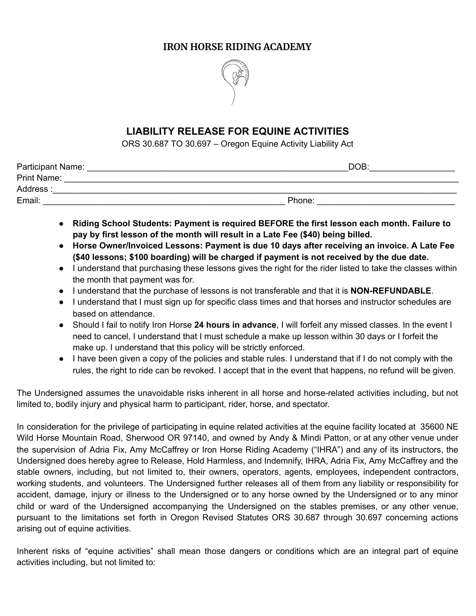# **IRON HORSE RIDING ACADEMY**



# **LIABILITY RELEASE FOR EQUINE ACTIVITIES**

ORS 30.687 TO 30.697 – Oregon Equine Activity Liability Act

| <b>Participant Name:</b> | DOB:   |
|--------------------------|--------|
| <b>Print Name:</b>       |        |
| Address:                 |        |
| Email:                   | Phone: |

- **● Riding School Students: Payment is required BEFORE the first lesson each month. Failure to pay by first lesson of the month will result in a Late Fee (\$40) being billed.**
- **● Horse Owner/Invoiced Lessons: Payment is due 10 days after receiving an invoice. A Late Fee (\$40 lessons; \$100 boarding) will be charged if payment is not received by the due date.**
- I understand that purchasing these lessons gives the right for the rider listed to take the classes within the month that payment was for.
- I understand that the purchase of lessons is not transferable and that it is **NON-REFUNDABLE**.
- I understand that I must sign up for specific class times and that horses and instructor schedules are based on attendance.
- Should I fail to notify Iron Horse **24 hours in advance**, I will forfeit any missed classes. In the event I need to cancel, I understand that I must schedule a make up lesson within 30 days or I forfeit the make up. I understand that this policy will be strictly enforced.
- I have been given a copy of the policies and stable rules. I understand that if I do not comply with the rules, the right to ride can be revoked. I accept that in the event that happens, no refund will be given.

The Undersigned assumes the unavoidable risks inherent in all horse and horse-related activities including, but not limited to, bodily injury and physical harm to participant, rider, horse, and spectator.

In consideration for the privilege of participating in equine related activities at the equine facility located at 35600 NE Wild Horse Mountain Road, Sherwood OR 97140, and owned by Andy & Mindi Patton, or at any other venue under the supervision of Adria Fix, Amy McCaffrey or Iron Horse Riding Academy ("IHRA") and any of its instructors, the Undersigned does hereby agree to Release, Hold Harmless, and Indemnify, IHRA, Adria Fix, Amy McCaffrey and the stable owners, including, but not limited to, their owners, operators, agents, employees, independent contractors, working students, and volunteers. The Undersigned further releases all of them from any liability or responsibility for accident, damage, injury or illness to the Undersigned or to any horse owned by the Undersigned or to any minor child or ward of the Undersigned accompanying the Undersigned on the stables premises, or any other venue, pursuant to the limitations set forth in Oregon Revised Statutes ORS 30.687 through 30.697 concerning actions arising out of equine activities.

Inherent risks of "equine activities" shall mean those dangers or conditions which are an integral part of equine activities including, but not limited to: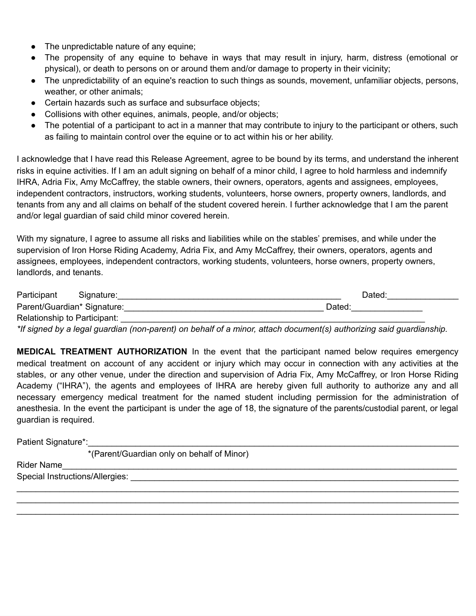- The unpredictable nature of any equine;
- The propensity of any equine to behave in ways that may result in injury, harm, distress (emotional or physical), or death to persons on or around them and/or damage to property in their vicinity;
- The unpredictability of an equine's reaction to such things as sounds, movement, unfamiliar objects, persons, weather, or other animals;
- Certain hazards such as surface and subsurface objects;
- Collisions with other equines, animals, people, and/or objects;
- The potential of a participant to act in a manner that may contribute to injury to the participant or others, such as failing to maintain control over the equine or to act within his or her ability.

I acknowledge that I have read this Release Agreement, agree to be bound by its terms, and understand the inherent risks in equine activities. If I am an adult signing on behalf of a minor child, I agree to hold harmless and indemnify IHRA, Adria Fix, Amy McCaffrey, the stable owners, their owners, operators, agents and assignees, employees, independent contractors, instructors, working students, volunteers, horse owners, property owners, landlords, and tenants from any and all claims on behalf of the student covered herein. I further acknowledge that I am the parent and/or legal guardian of said child minor covered herein.

With my signature, I agree to assume all risks and liabilities while on the stables' premises, and while under the supervision of Iron Horse Riding Academy, Adria Fix, and Amy McCaffrey, their owners, operators, agents and assignees, employees, independent contractors, working students, volunteers, horse owners, property owners, landlords, and tenants.

| Participant                  | Signature: | Dated: |
|------------------------------|------------|--------|
| Parent/Guardian* Signature:  |            | Dated: |
| Relationship to Participant: |            |        |

\*If signed by a legal guardian (non-parent) on behalf of a minor, attach document(s) authorizing said guardianship.

**MEDICAL TREATMENT AUTHORIZATION** In the event that the participant named below requires emergency medical treatment on account of any accident or injury which may occur in connection with any activities at the stables, or any other venue, under the direction and supervision of Adria Fix, Amy McCaffrey, or Iron Horse Riding Academy ("IHRA"), the agents and employees of IHRA are hereby given full authority to authorize any and all necessary emergency medical treatment for the named student including permission for the administration of anesthesia. In the event the participant is under the age of 18, the signature of the parents/custodial parent, or legal guardian is required.

 $\_$  $\_$  $\_$ 

Patient Signature\*:\_\_\_\_\_\_\_\_\_\_\_\_\_\_\_\_\_\_\_\_\_\_\_\_\_\_\_\_\_\_\_\_\_\_\_\_\_\_\_\_\_\_\_\_\_\_\_\_\_\_\_\_\_\_\_\_\_\_\_\_\_\_\_\_\_\_\_\_\_\_\_\_\_\_\_\_\_\_

\*(Parent/Guardian only on behalf of Minor)

Rider Name\_\_\_\_\_\_\_\_\_\_\_\_\_\_\_\_\_\_\_\_\_\_\_\_\_\_\_\_\_\_\_\_\_\_\_\_\_\_\_\_\_\_\_\_\_\_\_\_\_\_\_\_\_\_\_\_\_\_\_\_\_\_\_\_\_\_\_\_\_\_\_\_\_\_\_\_\_\_\_\_\_\_\_

Special Instructions/Allergies: \_\_\_\_\_\_\_\_\_\_\_\_\_\_\_\_\_\_\_\_\_\_\_\_\_\_\_\_\_\_\_\_\_\_\_\_\_\_\_\_\_\_\_\_\_\_\_\_\_\_\_\_\_\_\_\_\_\_\_\_\_\_\_\_\_\_\_\_\_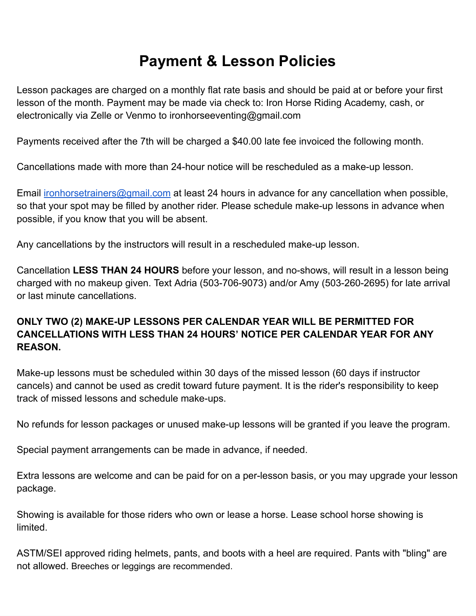# **Payment & Lesson Policies**

Lesson packages are charged on a monthly flat rate basis and should be paid at or before your first lesson of the month. Payment may be made via check to: Iron Horse Riding Academy, cash, or electronically via Zelle or Venmo to ironhorseeventing@gmail.com

Payments received after the 7th will be charged a \$40.00 late fee invoiced the following month.

Cancellations made with more than 24-hour notice will be rescheduled as a make-up lesson.

Email [ironhorsetrainers@gmail.com](mailto:ironhorsetrainers@gmail.com) at least 24 hours in advance for any cancellation when possible, so that your spot may be filled by another rider. Please schedule make-up lessons in advance when possible, if you know that you will be absent.

Any cancellations by the instructors will result in a rescheduled make-up lesson.

Cancellation **LESS THAN 24 HOURS** before your lesson, and no-shows, will result in a lesson being charged with no makeup given. Text Adria (503-706-9073) and/or Amy (503-260-2695) for late arrival or last minute cancellations.

# **ONLY TWO (2) MAKE-UP LESSONS PER CALENDAR YEAR WILL BE PERMITTED FOR CANCELLATIONS WITH LESS THAN 24 HOURS' NOTICE PER CALENDAR YEAR FOR ANY REASON.**

Make-up lessons must be scheduled within 30 days of the missed lesson (60 days if instructor cancels) and cannot be used as credit toward future payment. It is the rider's responsibility to keep track of missed lessons and schedule make-ups.

No refunds for lesson packages or unused make-up lessons will be granted if you leave the program.

Special payment arrangements can be made in advance, if needed.

Extra lessons are welcome and can be paid for on a per-lesson basis, or you may upgrade your lesson package.

Showing is available for those riders who own or lease a horse. Lease school horse showing is limited.

ASTM/SEI approved riding helmets, pants, and boots with a heel are required. Pants with "bling" are not allowed. Breeches or leggings are recommended.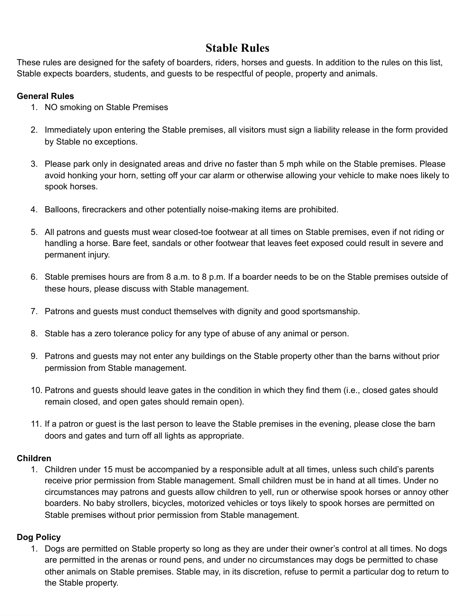# **Stable Rules**

These rules are designed for the safety of boarders, riders, horses and guests. In addition to the rules on this list, Stable expects boarders, students, and guests to be respectful of people, property and animals.

### **General Rules**

- 1. NO smoking on Stable Premises
- 2. Immediately upon entering the Stable premises, all visitors must sign a liability release in the form provided by Stable no exceptions.
- 3. Please park only in designated areas and drive no faster than 5 mph while on the Stable premises. Please avoid honking your horn, setting off your car alarm or otherwise allowing your vehicle to make noes likely to spook horses.
- 4. Balloons, firecrackers and other potentially noise-making items are prohibited.
- 5. All patrons and guests must wear closed-toe footwear at all times on Stable premises, even if not riding or handling a horse. Bare feet, sandals or other footwear that leaves feet exposed could result in severe and permanent injury.
- 6. Stable premises hours are from 8 a.m. to 8 p.m. If a boarder needs to be on the Stable premises outside of these hours, please discuss with Stable management.
- 7. Patrons and guests must conduct themselves with dignity and good sportsmanship.
- 8. Stable has a zero tolerance policy for any type of abuse of any animal or person.
- 9. Patrons and guests may not enter any buildings on the Stable property other than the barns without prior permission from Stable management.
- 10. Patrons and guests should leave gates in the condition in which they find them (i.e., closed gates should remain closed, and open gates should remain open).
- 11. If a patron or guest is the last person to leave the Stable premises in the evening, please close the barn doors and gates and turn off all lights as appropriate.

#### **Children**

1. Children under 15 must be accompanied by a responsible adult at all times, unless such child's parents receive prior permission from Stable management. Small children must be in hand at all times. Under no circumstances may patrons and guests allow children to yell, run or otherwise spook horses or annoy other boarders. No baby strollers, bicycles, motorized vehicles or toys likely to spook horses are permitted on Stable premises without prior permission from Stable management.

## **Dog Policy**

1. Dogs are permitted on Stable property so long as they are under their owner's control at all times. No dogs are permitted in the arenas or round pens, and under no circumstances may dogs be permitted to chase other animals on Stable premises. Stable may, in its discretion, refuse to permit a particular dog to return to the Stable property.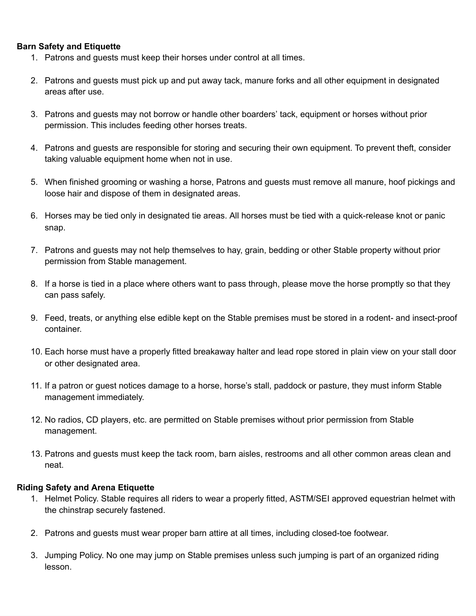#### **Barn Safety and Etiquette**

- 1. Patrons and guests must keep their horses under control at all times.
- 2. Patrons and guests must pick up and put away tack, manure forks and all other equipment in designated areas after use.
- 3. Patrons and guests may not borrow or handle other boarders' tack, equipment or horses without prior permission. This includes feeding other horses treats.
- 4. Patrons and guests are responsible for storing and securing their own equipment. To prevent theft, consider taking valuable equipment home when not in use.
- 5. When finished grooming or washing a horse, Patrons and guests must remove all manure, hoof pickings and loose hair and dispose of them in designated areas.
- 6. Horses may be tied only in designated tie areas. All horses must be tied with a quick-release knot or panic snap.
- 7. Patrons and guests may not help themselves to hay, grain, bedding or other Stable property without prior permission from Stable management.
- 8. If a horse is tied in a place where others want to pass through, please move the horse promptly so that they can pass safely.
- 9. Feed, treats, or anything else edible kept on the Stable premises must be stored in a rodent- and insect-proof container.
- 10. Each horse must have a properly fitted breakaway halter and lead rope stored in plain view on your stall door or other designated area.
- 11. If a patron or guest notices damage to a horse, horse's stall, paddock or pasture, they must inform Stable management immediately.
- 12. No radios, CD players, etc. are permitted on Stable premises without prior permission from Stable management.
- 13. Patrons and guests must keep the tack room, barn aisles, restrooms and all other common areas clean and neat.

#### **Riding Safety and Arena Etiquette**

- 1. Helmet Policy. Stable requires all riders to wear a properly fitted, ASTM/SEI approved equestrian helmet with the chinstrap securely fastened.
- 2. Patrons and guests must wear proper barn attire at all times, including closed-toe footwear.
- 3. Jumping Policy. No one may jump on Stable premises unless such jumping is part of an organized riding lesson.